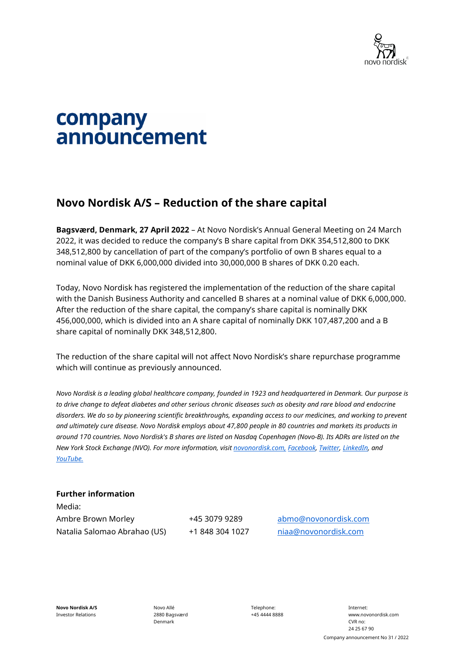

## company announcement

## **Novo Nordisk A/S – Reduction of the share capital**

**Bagsværd, Denmark, 27 April 2022** – At Novo Nordisk's Annual General Meeting on 24 March 2022, it was decided to reduce the company's B share capital from DKK 354,512,800 to DKK 348,512,800 by cancellation of part of the company's portfolio of own B shares equal to a nominal value of DKK 6,000,000 divided into 30,000,000 B shares of DKK 0.20 each.

Today, Novo Nordisk has registered the implementation of the reduction of the share capital with the Danish Business Authority and cancelled B shares at a nominal value of DKK 6,000,000. After the reduction of the share capital, the company's share capital is nominally DKK 456,000,000, which is divided into an A share capital of nominally DKK 107,487,200 and a B share capital of nominally DKK 348,512,800.

The reduction of the share capital will not affect Novo Nordisk's share repurchase programme which will continue as previously announced.

*Novo Nordisk is a leading global healthcare company, founded in 1923 and headquartered in Denmark. Our purpose is*  to drive change to defeat diabetes and other serious chronic diseases such as obesity and rare blood and endocrine *disorders. We do so by pioneering scientific breakthroughs, expanding access to our medicines, and working to prevent and ultimately cure disease. Novo Nordisk employs about 47,800 people in 80 countries and markets its products in around 170 countries. Novo Nordisk's B shares are listed on Nasdaq Copenhagen (Novo-B). Its ADRs are listed on the New York Stock Exchange (NVO). For more information, visit [novonordisk.com,](http://www.novonordisk.com/) [Facebook,](http://www.facebook.com/novonordisk) [Twitter,](http://www.twitter.com/novonordisk) [LinkedIn,](http://www.linkedin.com/company/novo-nordisk) and [YouTube.](http://www.youtube.com/novonordisk)*

## **Further information**

Media: Ambre Brown Morley +45 3079 9289 [abmo@novonordisk.com](file://fsdkhq001/cos419$/treasury/12.%20Financial%20transactions/12.3.%20Share%20buyback/12.3.3.%20Share%20buyback%20administration/2022/Weekly%20CAs/Colour%20templates/abmo@novonordisk.com) Natalia Salomao Abrahao (US) +1 848 304 1027 [niaa@novonordisk.com](mailto:niaa@novonordisk.com)

**Novo Nordisk A/S** Investor Relations

Novo Allé 2880 Bagsværd Denmark

Telephone: +45 4444 8888

Internet: www.novonordisk.com CVR no: 24 25 67 90 Company announcement No 31 / 2022